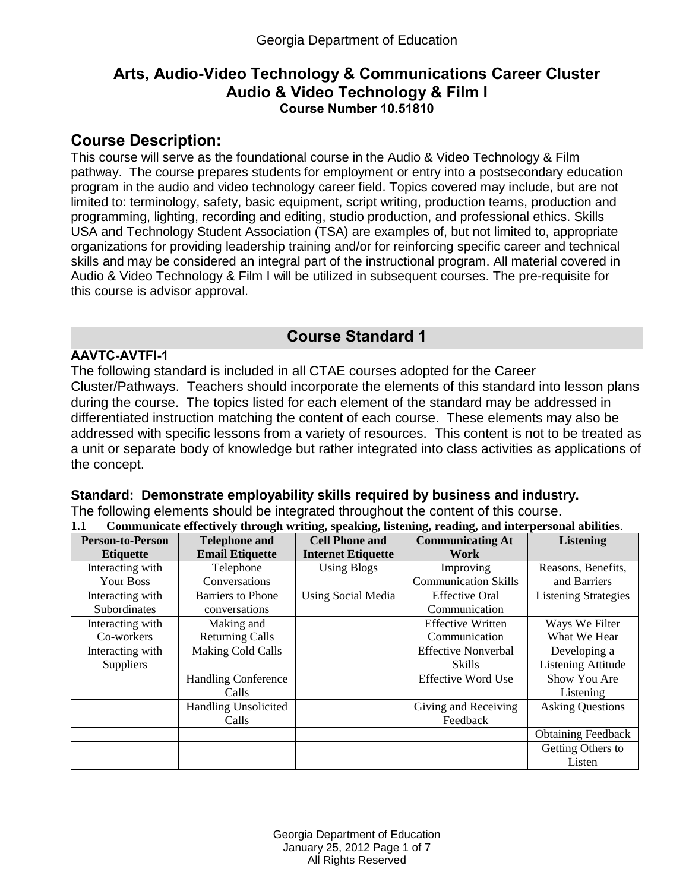# **Arts, Audio-Video Technology & Communications Career Cluster Audio & Video Technology & Film I Course Number 10.51810**

# **Course Description:**

This course will serve as the foundational course in the Audio & Video Technology & Film pathway. The course prepares students for employment or entry into a postsecondary education program in the audio and video technology career field. Topics covered may include, but are not limited to: terminology, safety, basic equipment, script writing, production teams, production and programming, lighting, recording and editing, studio production, and professional ethics. Skills USA and Technology Student Association (TSA) are examples of, but not limited to, appropriate organizations for providing leadership training and/or for reinforcing specific career and technical skills and may be considered an integral part of the instructional program. All material covered in Audio & Video Technology & Film I will be utilized in subsequent courses. The pre-requisite for this course is advisor approval.

# **Course Standard 1**

### **AAVTC-AVTFI-1**

The following standard is included in all CTAE courses adopted for the Career Cluster/Pathways. Teachers should incorporate the elements of this standard into lesson plans during the course. The topics listed for each element of the standard may be addressed in differentiated instruction matching the content of each course. These elements may also be addressed with specific lessons from a variety of resources. This content is not to be treated as a unit or separate body of knowledge but rather integrated into class activities as applications of the concept.

### **Standard: Demonstrate employability skills required by business and industry.**

The following elements should be integrated throughout the content of this course.

|  |  |  | 1.1 Communicate effectively through writing, speaking, listening, reading, and interpersonal abilities. |  |
|--|--|--|---------------------------------------------------------------------------------------------------------|--|
|  |  |  |                                                                                                         |  |

| <b>Person-to-Person</b> | <b>Telephone and</b>        | <b>Cell Phone and</b>     | <b>Communicating At</b>     | <b>Listening</b>            |
|-------------------------|-----------------------------|---------------------------|-----------------------------|-----------------------------|
| <b>Etiquette</b>        | <b>Email Etiquette</b>      | <b>Internet Etiquette</b> | Work                        |                             |
| Interacting with        | Telephone                   | <b>Using Blogs</b>        | Improving                   | Reasons, Benefits,          |
| <b>Your Boss</b>        | Conversations               |                           | <b>Communication Skills</b> | and Barriers                |
| Interacting with        | <b>Barriers to Phone</b>    | <b>Using Social Media</b> | <b>Effective Oral</b>       | <b>Listening Strategies</b> |
| Subordinates            | conversations               |                           | Communication               |                             |
| Interacting with        | Making and                  |                           | <b>Effective Written</b>    | Ways We Filter              |
| Co-workers              | <b>Returning Calls</b>      |                           | Communication               | What We Hear                |
| Interacting with        | Making Cold Calls           |                           | <b>Effective Nonverbal</b>  | Developing a                |
| <b>Suppliers</b>        |                             |                           | <b>Skills</b>               | <b>Listening Attitude</b>   |
|                         | <b>Handling Conference</b>  |                           | <b>Effective Word Use</b>   | Show You Are                |
|                         | Calls                       |                           |                             | Listening                   |
|                         | <b>Handling Unsolicited</b> |                           | Giving and Receiving        | <b>Asking Questions</b>     |
|                         | Calls                       |                           | Feedback                    |                             |
|                         |                             |                           |                             | <b>Obtaining Feedback</b>   |
|                         |                             |                           |                             | Getting Others to           |
|                         |                             |                           |                             | Listen                      |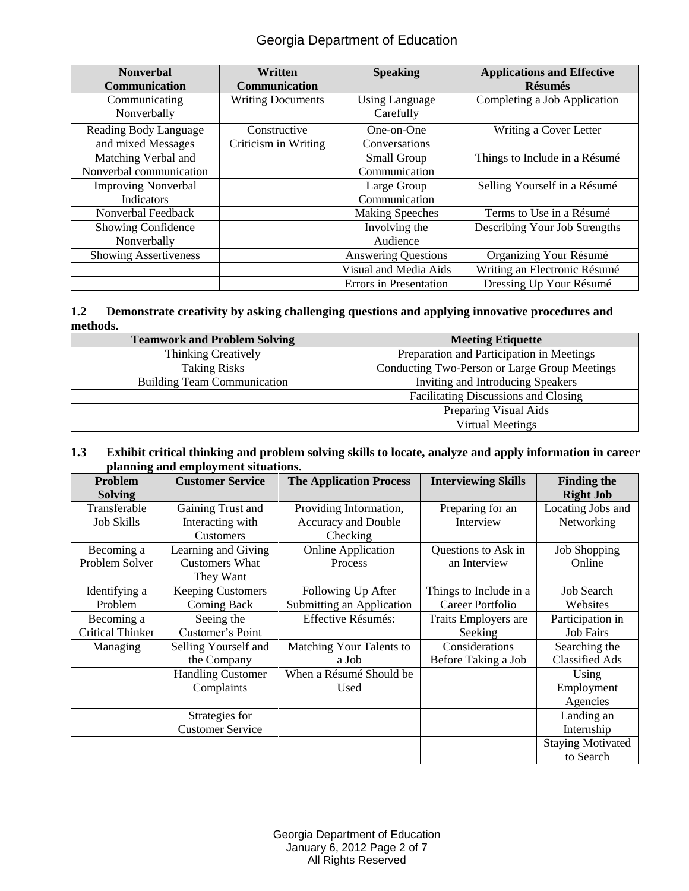# Georgia Department of Education

| <b>Nonverbal</b><br>Communication               | Written<br>Communication             | <b>Speaking</b>                     | <b>Applications and Effective</b><br><b>Résumés</b> |
|-------------------------------------------------|--------------------------------------|-------------------------------------|-----------------------------------------------------|
| Communicating<br>Nonverbally                    | <b>Writing Documents</b>             | <b>Using Language</b><br>Carefully  | Completing a Job Application                        |
| Reading Body Language<br>and mixed Messages     | Constructive<br>Criticism in Writing | One-on-One<br>Conversations         | Writing a Cover Letter                              |
| Matching Verbal and<br>Nonverbal communication  |                                      | <b>Small Group</b><br>Communication | Things to Include in a Résumé                       |
| <b>Improving Nonverbal</b><br><b>Indicators</b> |                                      | Large Group<br>Communication        | Selling Yourself in a Résumé                        |
| Nonverbal Feedback                              |                                      | <b>Making Speeches</b>              | Terms to Use in a Résumé                            |
| Showing Confidence<br>Nonverbally               |                                      | Involving the<br>Audience           | Describing Your Job Strengths                       |
| <b>Showing Assertiveness</b>                    |                                      | <b>Answering Questions</b>          | Organizing Your Résumé                              |
|                                                 |                                      | Visual and Media Aids               | Writing an Electronic Résumé                        |
|                                                 |                                      | Errors in Presentation              | Dressing Up Your Résumé                             |

#### **1.2 Demonstrate creativity by asking challenging questions and applying innovative procedures and methods.**

| <b>Teamwork and Problem Solving</b> | <b>Meeting Etiquette</b>                      |  |
|-------------------------------------|-----------------------------------------------|--|
| Thinking Creatively                 | Preparation and Participation in Meetings     |  |
| <b>Taking Risks</b>                 | Conducting Two-Person or Large Group Meetings |  |
| <b>Building Team Communication</b>  | Inviting and Introducing Speakers             |  |
|                                     | <b>Facilitating Discussions and Closing</b>   |  |
|                                     | Preparing Visual Aids                         |  |
|                                     | Virtual Meetings                              |  |

#### **1.3 Exhibit critical thinking and problem solving skills to locate, analyze and apply information in career planning and employment situations.**

| <b>Problem</b>          | <b>Customer Service</b>  | <b>The Application Process</b> | <b>Interviewing Skills</b> | <b>Finding the</b>       |
|-------------------------|--------------------------|--------------------------------|----------------------------|--------------------------|
| <b>Solving</b>          |                          |                                |                            | <b>Right Job</b>         |
| Transferable            | Gaining Trust and        | Providing Information,         | Preparing for an           | Locating Jobs and        |
| <b>Job Skills</b>       | Interacting with         | Accuracy and Double            | Interview                  | Networking               |
|                         | <b>Customers</b>         | Checking                       |                            |                          |
| Becoming a              | Learning and Giving      | <b>Online Application</b>      | Questions to Ask in        | <b>Job Shopping</b>      |
| Problem Solver          | <b>Customers What</b>    | Process                        | an Interview               | Online                   |
|                         | They Want                |                                |                            |                          |
| Identifying a           | <b>Keeping Customers</b> | Following Up After             | Things to Include in a     | <b>Job Search</b>        |
| Problem                 | Coming Back              | Submitting an Application      | Career Portfolio           | Websites                 |
| Becoming a              | Seeing the               | Effective Résumés:             | Traits Employers are       | Participation in         |
| <b>Critical Thinker</b> | Customer's Point         |                                | Seeking                    | <b>Job Fairs</b>         |
| Managing                | Selling Yourself and     | Matching Your Talents to       | Considerations             | Searching the            |
|                         | the Company              | a Job                          | Before Taking a Job        | <b>Classified Ads</b>    |
|                         | <b>Handling Customer</b> | When a Résumé Should be        |                            | Using                    |
|                         | Complaints               | Used                           |                            | Employment               |
|                         |                          |                                |                            | Agencies                 |
|                         | Strategies for           |                                |                            | Landing an               |
|                         | <b>Customer Service</b>  |                                |                            | Internship               |
|                         |                          |                                |                            | <b>Staying Motivated</b> |
|                         |                          |                                |                            | to Search                |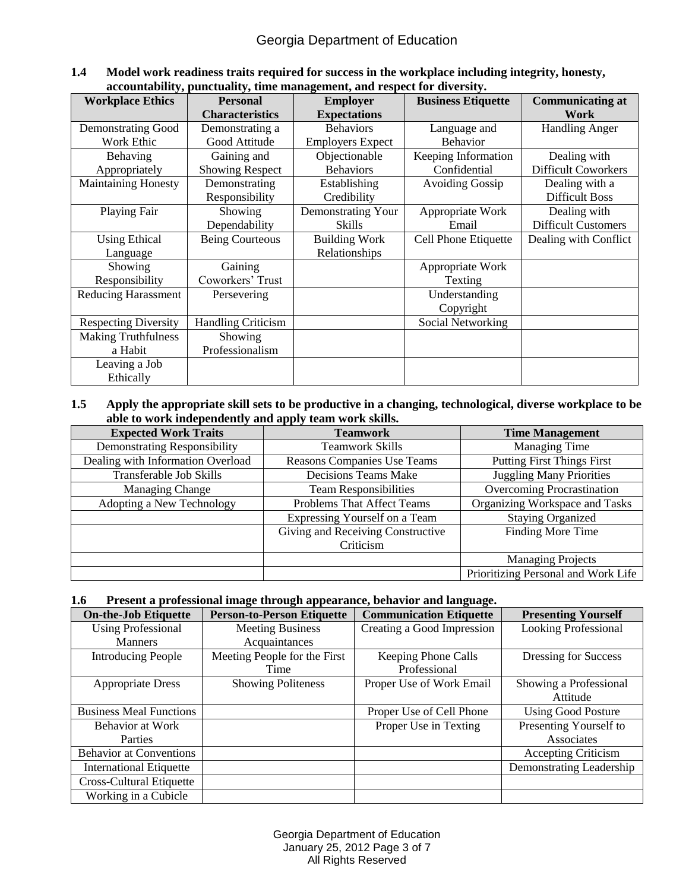#### **1.4 Model work readiness traits required for success in the workplace including integrity, honesty, accountability, punctuality, time management, and respect for diversity.**

| <b>Workplace Ethics</b>     | <b>Personal</b>           | <b>Employer</b>         | <b>Business Etiquette</b> | <b>Communicating at</b>    |
|-----------------------------|---------------------------|-------------------------|---------------------------|----------------------------|
|                             | <b>Characteristics</b>    | <b>Expectations</b>     |                           | <b>Work</b>                |
| <b>Demonstrating Good</b>   | Demonstrating a           | <b>Behaviors</b>        | Language and              | <b>Handling Anger</b>      |
| Work Ethic                  | Good Attitude             | <b>Employers Expect</b> | <b>Behavior</b>           |                            |
| Behaving                    | Gaining and               | Objectionable           | Keeping Information       | Dealing with               |
| Appropriately               | <b>Showing Respect</b>    | <b>Behaviors</b>        | Confidential              | <b>Difficult Coworkers</b> |
| <b>Maintaining Honesty</b>  | Demonstrating             | Establishing            | <b>Avoiding Gossip</b>    | Dealing with a             |
|                             | Responsibility            | Credibility             |                           | <b>Difficult Boss</b>      |
| Playing Fair                | Showing                   | Demonstrating Your      | Appropriate Work          | Dealing with               |
|                             | Dependability             | <b>Skills</b>           | Email                     | <b>Difficult Customers</b> |
| <b>Using Ethical</b>        | <b>Being Courteous</b>    | <b>Building Work</b>    | Cell Phone Etiquette      | Dealing with Conflict      |
| Language                    |                           | Relationships           |                           |                            |
| Showing                     | Gaining                   |                         | Appropriate Work          |                            |
| Responsibility              | Coworkers' Trust          |                         | Texting                   |                            |
| <b>Reducing Harassment</b>  | Persevering               |                         | Understanding             |                            |
|                             |                           |                         | Copyright                 |                            |
| <b>Respecting Diversity</b> | <b>Handling Criticism</b> |                         | Social Networking         |                            |
| <b>Making Truthfulness</b>  | Showing                   |                         |                           |                            |
| a Habit                     | Professionalism           |                         |                           |                            |
| Leaving a Job               |                           |                         |                           |                            |
| Ethically                   |                           |                         |                           |                            |

#### **1.5 Apply the appropriate skill sets to be productive in a changing, technological, diverse workplace to be able to work independently and apply team work skills.**

| <b>Expected Work Traits</b>         | <b>Teamwork</b>                                                     | <b>Time Management</b>              |  |
|-------------------------------------|---------------------------------------------------------------------|-------------------------------------|--|
| <b>Demonstrating Responsibility</b> | <b>Teamwork Skills</b>                                              | <b>Managing Time</b>                |  |
| Dealing with Information Overload   | Reasons Companies Use Teams                                         | <b>Putting First Things First</b>   |  |
| Transferable Job Skills             | Decisions Teams Make                                                | <b>Juggling Many Priorities</b>     |  |
| <b>Managing Change</b>              | <b>Team Responsibilities</b>                                        | Overcoming Procrastination          |  |
| Adopting a New Technology           | Organizing Workspace and Tasks<br><b>Problems That Affect Teams</b> |                                     |  |
|                                     | Expressing Yourself on a Team                                       | <b>Staying Organized</b>            |  |
|                                     | Giving and Receiving Constructive                                   | Finding More Time                   |  |
|                                     | Criticism                                                           |                                     |  |
|                                     |                                                                     | <b>Managing Projects</b>            |  |
|                                     |                                                                     | Prioritizing Personal and Work Life |  |

#### **1.6 Present a professional image through appearance, behavior and language.**

| <b>On-the-Job Etiquette</b>     | <b>Person-to-Person Etiquette</b> | <b>Communication Etiquette</b> | <b>Presenting Yourself</b>  |
|---------------------------------|-----------------------------------|--------------------------------|-----------------------------|
| <b>Using Professional</b>       | <b>Meeting Business</b>           | Creating a Good Impression     | <b>Looking Professional</b> |
| <b>Manners</b>                  | Acquaintances                     |                                |                             |
| <b>Introducing People</b>       | Meeting People for the First      | Keeping Phone Calls            | Dressing for Success        |
|                                 | Time                              | Professional                   |                             |
| <b>Appropriate Dress</b>        | <b>Showing Politeness</b>         | Proper Use of Work Email       | Showing a Professional      |
|                                 |                                   |                                | Attitude                    |
| <b>Business Meal Functions</b>  |                                   | Proper Use of Cell Phone       | <b>Using Good Posture</b>   |
| <b>Behavior at Work</b>         |                                   | Proper Use in Texting          | Presenting Yourself to      |
| Parties                         |                                   |                                | Associates                  |
| <b>Behavior at Conventions</b>  |                                   |                                | <b>Accepting Criticism</b>  |
| <b>International Etiquette</b>  |                                   |                                | Demonstrating Leadership    |
| <b>Cross-Cultural Etiquette</b> |                                   |                                |                             |
| Working in a Cubicle            |                                   |                                |                             |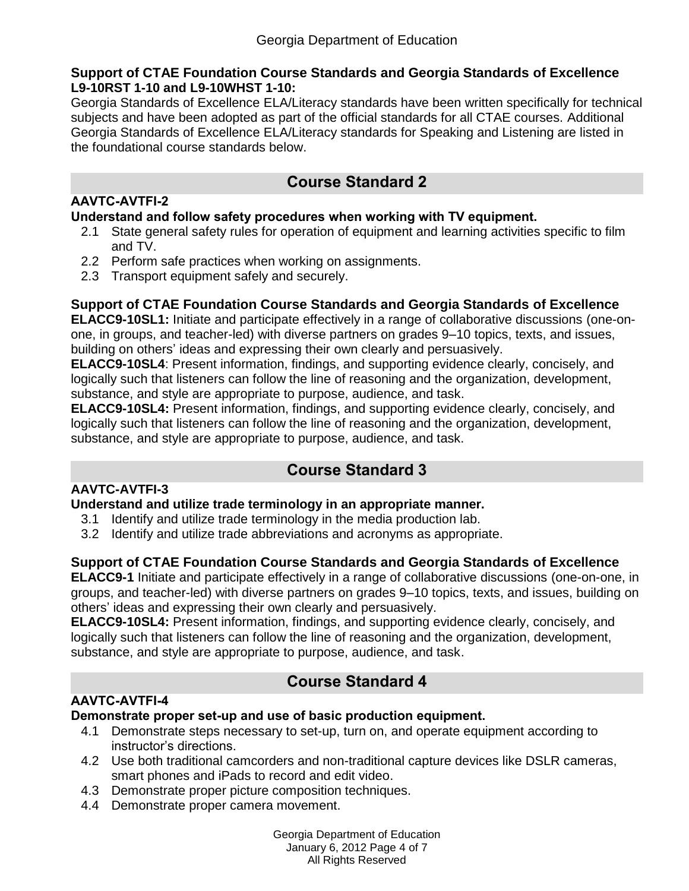#### **Support of CTAE Foundation Course Standards and Georgia Standards of Excellence L9-10RST 1-10 and L9-10WHST 1-10:**

Georgia Standards of Excellence ELA/Literacy standards have been written specifically for technical subjects and have been adopted as part of the official standards for all CTAE courses. Additional Georgia Standards of Excellence ELA/Literacy standards for Speaking and Listening are listed in the foundational course standards below.

# **Course Standard 2**

### **AAVTC-AVTFI-2**

### **Understand and follow safety procedures when working with TV equipment.**

- 2.1 State general safety rules for operation of equipment and learning activities specific to film and TV.
- 2.2 Perform safe practices when working on assignments.
- 2.3 Transport equipment safely and securely.

# **Support of CTAE Foundation Course Standards and Georgia Standards of Excellence**

**ELACC9-10SL1:** Initiate and participate effectively in a range of collaborative discussions (one-onone, in groups, and teacher-led) with diverse partners on grades 9–10 topics, texts, and issues, building on others' ideas and expressing their own clearly and persuasively.

**ELACC9-10SL4**: Present information, findings, and supporting evidence clearly, concisely, and logically such that listeners can follow the line of reasoning and the organization, development, substance, and style are appropriate to purpose, audience, and task.

**ELACC9-10SL4:** Present information, findings, and supporting evidence clearly, concisely, and logically such that listeners can follow the line of reasoning and the organization, development, substance, and style are appropriate to purpose, audience, and task.

# **Course Standard 3**

# **AAVTC-AVTFI-3**

**Understand and utilize trade terminology in an appropriate manner.**

- 3.1 Identify and utilize trade terminology in the media production lab.
- 3.2 Identify and utilize trade abbreviations and acronyms as appropriate.

# **Support of CTAE Foundation Course Standards and Georgia Standards of Excellence**

**ELACC9-1** Initiate and participate effectively in a range of collaborative discussions (one-on-one, in groups, and teacher-led) with diverse partners on grades 9–10 topics, texts, and issues, building on others' ideas and expressing their own clearly and persuasively.

**ELACC9-10SL4:** Present information, findings, and supporting evidence clearly, concisely, and logically such that listeners can follow the line of reasoning and the organization, development, substance, and style are appropriate to purpose, audience, and task.

# **Course Standard 4**

# **AAVTC-AVTFI-4**

# **Demonstrate proper set-up and use of basic production equipment.**

- 4.1 Demonstrate steps necessary to set-up, turn on, and operate equipment according to instructor's directions.
- 4.2 Use both traditional camcorders and non-traditional capture devices like DSLR cameras, smart phones and iPads to record and edit video.
- 4.3 Demonstrate proper picture composition techniques.
- 4.4 Demonstrate proper camera movement.

Georgia Department of Education January 6, 2012 Page 4 of 7 All Rights Reserved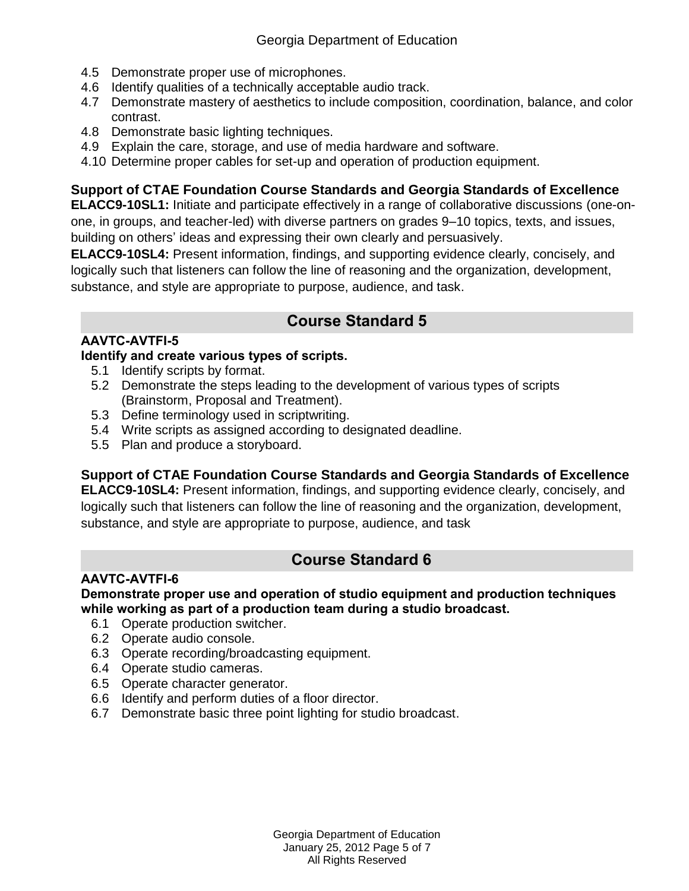- 4.5 Demonstrate proper use of microphones.
- 4.6 Identify qualities of a technically acceptable audio track.
- 4.7 Demonstrate mastery of aesthetics to include composition, coordination, balance, and color contrast.
- 4.8 Demonstrate basic lighting techniques.
- 4.9 Explain the care, storage, and use of media hardware and software.
- 4.10 Determine proper cables for set-up and operation of production equipment.

# **Support of CTAE Foundation Course Standards and Georgia Standards of Excellence**

**ELACC9-10SL1:** Initiate and participate effectively in a range of collaborative discussions (one-onone, in groups, and teacher-led) with diverse partners on grades 9–10 topics, texts, and issues, building on others' ideas and expressing their own clearly and persuasively.

**ELACC9-10SL4:** Present information, findings, and supporting evidence clearly, concisely, and logically such that listeners can follow the line of reasoning and the organization, development, substance, and style are appropriate to purpose, audience, and task.

# **Course Standard 5**

# **AAVTC-AVTFI-5**

### **Identify and create various types of scripts.**

- 5.1 Identify scripts by format.
- 5.2 Demonstrate the steps leading to the development of various types of scripts (Brainstorm, Proposal and Treatment).
- 5.3 Define terminology used in scriptwriting.
- 5.4 Write scripts as assigned according to designated deadline.
- 5.5 Plan and produce a storyboard.

# **Support of CTAE Foundation Course Standards and Georgia Standards of Excellence**

**ELACC9-10SL4:** Present information, findings, and supporting evidence clearly, concisely, and logically such that listeners can follow the line of reasoning and the organization, development, substance, and style are appropriate to purpose, audience, and task

# **Course Standard 6**

### **AAVTC-AVTFI-6**

**Demonstrate proper use and operation of studio equipment and production techniques while working as part of a production team during a studio broadcast.**

- 6.1 Operate production switcher.
- 6.2 Operate audio console.
- 6.3 Operate recording/broadcasting equipment.
- 6.4 Operate studio cameras.
- 6.5 Operate character generator.
- 6.6 Identify and perform duties of a floor director.
- 6.7 Demonstrate basic three point lighting for studio broadcast.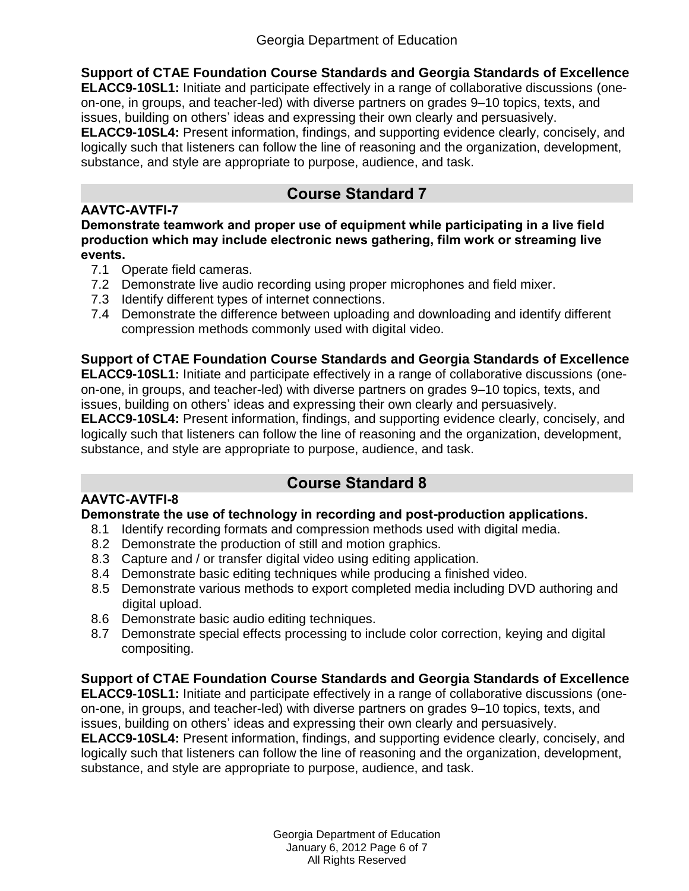**Support of CTAE Foundation Course Standards and Georgia Standards of Excellence ELACC9-10SL1:** Initiate and participate effectively in a range of collaborative discussions (oneon-one, in groups, and teacher-led) with diverse partners on grades 9–10 topics, texts, and issues, building on others' ideas and expressing their own clearly and persuasively. **ELACC9-10SL4:** Present information, findings, and supporting evidence clearly, concisely, and logically such that listeners can follow the line of reasoning and the organization, development, substance, and style are appropriate to purpose, audience, and task.

# **Course Standard 7**

### **AAVTC-AVTFI-7**

**Demonstrate teamwork and proper use of equipment while participating in a live field production which may include electronic news gathering, film work or streaming live events.**

- 7.1 Operate field cameras.
- 7.2 Demonstrate live audio recording using proper microphones and field mixer.
- 7.3 Identify different types of internet connections.
- 7.4 Demonstrate the difference between uploading and downloading and identify different compression methods commonly used with digital video.

# **Support of CTAE Foundation Course Standards and Georgia Standards of Excellence**

**ELACC9-10SL1:** Initiate and participate effectively in a range of collaborative discussions (oneon-one, in groups, and teacher-led) with diverse partners on grades 9–10 topics, texts, and issues, building on others' ideas and expressing their own clearly and persuasively.

**ELACC9-10SL4:** Present information, findings, and supporting evidence clearly, concisely, and logically such that listeners can follow the line of reasoning and the organization, development, substance, and style are appropriate to purpose, audience, and task.

# **Course Standard 8**

# **AAVTC-AVTFI-8**

### **Demonstrate the use of technology in recording and post-production applications.**

- 8.1 Identify recording formats and compression methods used with digital media.
- 8.2 Demonstrate the production of still and motion graphics.
- 8.3 Capture and / or transfer digital video using editing application.
- 8.4 Demonstrate basic editing techniques while producing a finished video.
- 8.5 Demonstrate various methods to export completed media including DVD authoring and digital upload.
- 8.6 Demonstrate basic audio editing techniques.
- 8.7 Demonstrate special effects processing to include color correction, keying and digital compositing.

# **Support of CTAE Foundation Course Standards and Georgia Standards of Excellence**

**ELACC9-10SL1:** Initiate and participate effectively in a range of collaborative discussions (oneon-one, in groups, and teacher-led) with diverse partners on grades 9–10 topics, texts, and issues, building on others' ideas and expressing their own clearly and persuasively.

**ELACC9-10SL4:** Present information, findings, and supporting evidence clearly, concisely, and logically such that listeners can follow the line of reasoning and the organization, development, substance, and style are appropriate to purpose, audience, and task.